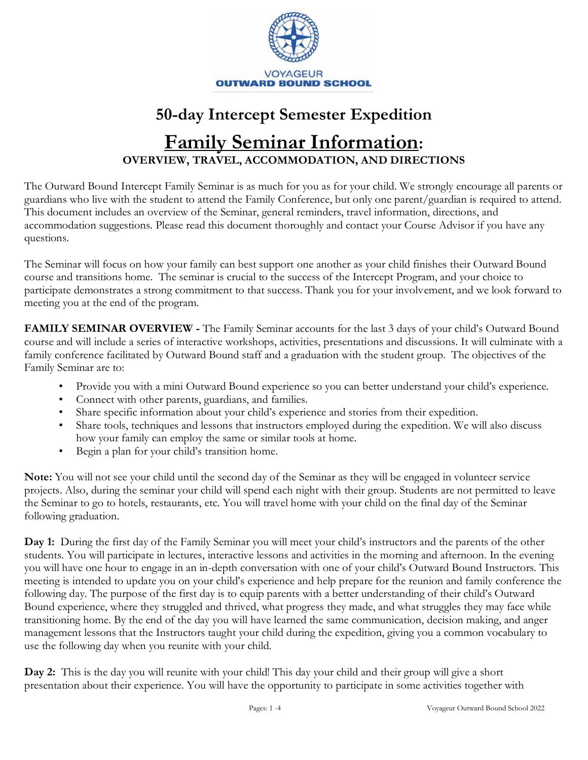

# **50-day Intercept Semester Expedition Family Seminar Information: OVERVIEW, TRAVEL, ACCOMMODATION, AND DIRECTIONS**

The Outward Bound Intercept Family Seminar is as much for you as for your child. We strongly encourage all parents or guardians who live with the student to attend the Family Conference, but only one parent/guardian is required to attend. This document includes an overview of the Seminar, general reminders, travel information, directions, and accommodation suggestions. Please read this document thoroughly and contact your Course Advisor if you have any questions.

The Seminar will focus on how your family can best support one another as your child finishes their Outward Bound course and transitions home. The seminar is crucial to the success of the Intercept Program, and your choice to participate demonstrates a strong commitment to that success. Thank you for your involvement, and we look forward to meeting you at the end of the program.

**FAMILY SEMINAR OVERVIEW -** The Family Seminar accounts for the last 3 days of your child's Outward Bound course and will include a series of interactive workshops, activities, presentations and discussions. It will culminate with a family conference facilitated by Outward Bound staff and a graduation with the student group. The objectives of the Family Seminar are to:

- Provide you with a mini Outward Bound experience so you can better understand your child's experience.
- Connect with other parents, guardians, and families.
- Share specific information about your child's experience and stories from their expedition.
- Share tools, techniques and lessons that instructors employed during the expedition. We will also discuss how your family can employ the same or similar tools at home.
- Begin a plan for your child's transition home.

**Note:** You will not see your child until the second day of the Seminar as they will be engaged in volunteer service projects. Also, during the seminar your child will spend each night with their group. Students are not permitted to leave the Seminar to go to hotels, restaurants, etc. You will travel home with your child on the final day of the Seminar following graduation.

**Day 1:** During the first day of the Family Seminar you will meet your child's instructors and the parents of the other students. You will participate in lectures, interactive lessons and activities in the morning and afternoon. In the evening you will have one hour to engage in an in-depth conversation with one of your child's Outward Bound Instructors. This meeting is intended to update you on your child's experience and help prepare for the reunion and family conference the following day. The purpose of the first day is to equip parents with a better understanding of their child's Outward Bound experience, where they struggled and thrived, what progress they made, and what struggles they may face while transitioning home. By the end of the day you will have learned the same communication, decision making, and anger management lessons that the Instructors taught your child during the expedition, giving you a common vocabulary to use the following day when you reunite with your child.

**Day 2:** This is the day you will reunite with your child! This day your child and their group will give a short presentation about their experience. You will have the opportunity to participate in some activities together with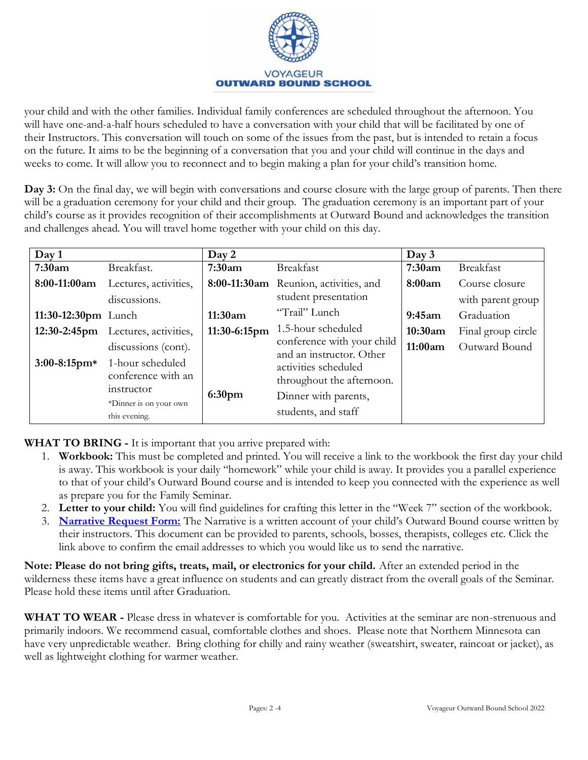

your child and with the other families. Individual family conferences are scheduled throughout the afternoon. You will have one-and-a-half hours scheduled to have a conversation with your child that will be facilitated by one of their Instructors. This conversation will touch on some of the issues from the past, but is intended to retain a focus on the future. It aims to be the beginning of a conversation that you and your child will continue in the days and weeks to come. It will allow you to reconnect and to begin making a plan for your child's transition home.

**Day 3:** On the final day, we will begin with conversations and course closure with the large group of parents. Then there will be a graduation ceremony for your child and their group. The graduation ceremony is an important part of your child's course as it provides recognition of their accomplishments at Outward Bound and acknowledges the transition and challenges ahead. You will travel home together with your child on this day.

| Day 1                  |                                                                                                 | Day 2              |                                                                                                  | Day 3   |                    |
|------------------------|-------------------------------------------------------------------------------------------------|--------------------|--------------------------------------------------------------------------------------------------|---------|--------------------|
| 7:30am                 | Breakfast.                                                                                      | 7:30am             | Breakfast                                                                                        | 7:30am  | <b>Breakfast</b>   |
| 8:00-11:00am           | Lectures, activities,                                                                           |                    | 8:00-11:30am Reunion, activities, and                                                            | 8:00am  | Course closure     |
|                        | discussions.                                                                                    |                    | student presentation                                                                             |         | with parent group  |
| 11:30-12:30 $pm$ Lunch |                                                                                                 | 11:30am            | "Trail" Lunch                                                                                    | 9:45am  | Graduation         |
|                        | 12:30-2:45pm Lectures, activities,                                                              | 11:30-6:15pm       | 1.5-hour scheduled                                                                               | 10:30am | Final group circle |
|                        | discussions (cont).                                                                             |                    | conference with your child<br>and an instructor. Other                                           | 11:00am | Outward Bound      |
| $3:00-8:15$ pm*        | 1-hour scheduled<br>conference with an<br>instructor<br>*Dinner is on your own<br>this evening. | 6:30 <sub>pm</sub> | activities scheduled<br>throughout the afternoon.<br>Dinner with parents,<br>students, and staff |         |                    |

**WHAT TO BRING -** It is important that you arrive prepared with:

- 1. **Workbook:** This must be completed and printed. You will receive a link to the workbook the first day your child is away. This workbook is your daily "homework" while your child is away. It provides you a parallel experience to that of your child's Outward Bound course and is intended to keep you connected with the experience as well as prepare you for the Family Seminar.
- 2. **Letter to your child:** You will find guidelines for crafting this letter in the "Week 7" section of the workbook.
- 3. **[Narrative Request Form:](https://forms.gle/vwb8D7ofR4AjfWUH8)** The Narrative is a written account of your child's Outward Bound course written by their instructors. This document can be provided to parents, schools, bosses, therapists, colleges etc. Click the link above to confirm the email addresses to which you would like us to send the narrative.

**Note: Please do not bring gifts, treats, mail, or electronics for your child.** After an extended period in the wilderness these items have a great influence on students and can greatly distract from the overall goals of the Seminar. Please hold these items until after Graduation.

**WHAT TO WEAR -** Please dress in whatever is comfortable for you. Activities at the seminar are non-strenuous and primarily indoors. We recommend casual, comfortable clothes and shoes. Please note that Northern Minnesota can have very unpredictable weather. Bring clothing for chilly and rainy weather (sweatshirt, sweater, raincoat or jacket), as well as lightweight clothing for warmer weather.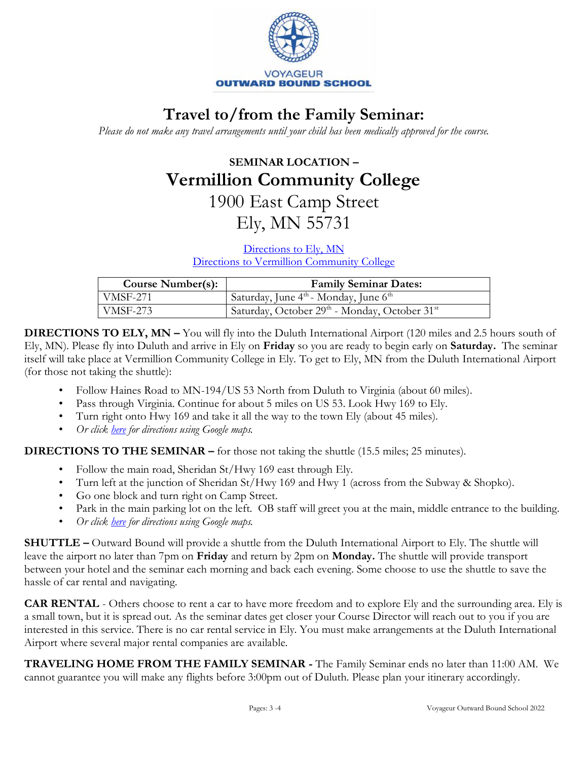

## **Travel to/from the Family Seminar:**

*Please do not make any travel arrangements until your child has been medically approved for the course.*

## **SEMINAR LOCATION – Vermillion Community College** 1900 East Camp Street

Ely, MN 55731

[Directions to Ely, MN](https://www.google.com/maps/place/Ely,+MN+55731/@47.9046001,-91.8729429,14z/data=!3m1!4b1!4m5!3m4!1s0x52a5b00711befad9:0x956bce3d3522817e!8m2!3d47.9032372!4d-91.8670873)

[Directions to Vermillion Community College](https://www.google.com/maps/place/Vermilion+Community+College/@47.9052991,-91.8401563,17z/data=!3m1!4b1!4m5!3m4!1s0x52a5baa0666e0fbd:0xdd7857c2f024ac07!8m2!3d47.9052991!4d-91.8379676)

| <b>Course Number(s):</b> | <b>Family Seminar Dates:</b>                                  |
|--------------------------|---------------------------------------------------------------|
| VMSF-271                 | Saturday, June $4^{\text{th}}$ - Monday, June $6^{\text{th}}$ |
| <b>VMSF-273</b>          | Saturday, October 29th - Monday, October 31st                 |

**DIRECTIONS TO ELY, MN –** You will fly into the Duluth International Airport (120 miles and 2.5 hours south of Ely, MN). Please fly into Duluth and arrive in Ely on **Friday** so you are ready to begin early on **Saturday.** The seminar itself will take place at Vermillion Community College in Ely. To get to Ely, MN from the Duluth International Airport (for those not taking the shuttle):

- Follow Haines Road to MN-194/US 53 North from Duluth to Virginia (about 60 miles).
- Pass through Virginia. Continue for about 5 miles on US 53. Look Hwy 169 to Ely.
- Turn right onto Hwy 169 and take it all the way to the town Ely (about 45 miles).
- *Or click [here](https://www.google.com/maps/place/Ely,+MN+55731/@47.9046001,-91.8729429,14z/data=!3m1!4b1!4m5!3m4!1s0x52a5b00711befad9:0x956bce3d3522817e!8m2!3d47.9032372!4d-91.8670873) for directions using Google maps.*

**DIRECTIONS TO THE SEMINAR –** for those not taking the shuttle (15.5 miles; 25 minutes).

- Follow the main road, Sheridan St/Hwy 169 east through Ely.
- Turn left at the junction of Sheridan St/Hwy 169 and Hwy 1 (across from the Subway & Shopko).
- Go one block and turn right on Camp Street.
- Park in the main parking lot on the left. OB staff will greet you at the main, middle entrance to the building.
- *Or click [here](https://www.google.com/maps/place/Vermilion+Community+College/@47.9052991,-91.8401563,17z/data=!3m1!4b1!4m5!3m4!1s0x52a5baa0666e0fbd:0xdd7857c2f024ac07!8m2!3d47.9052991!4d-91.8379676) for directions using Google maps.*

**SHUTTLE –** Outward Bound will provide a shuttle from the Duluth International Airport to Ely. The shuttle will leave the airport no later than 7pm on **Friday** and return by 2pm on **Monday.** The shuttle will provide transport between your hotel and the seminar each morning and back each evening. Some choose to use the shuttle to save the hassle of car rental and navigating.

**CAR RENTAL** - Others choose to rent a car to have more freedom and to explore Ely and the surrounding area. Ely is a small town, but it is spread out. As the seminar dates get closer your Course Director will reach out to you if you are interested in this service. There is no car rental service in Ely. You must make arrangements at the Duluth International Airport where several major rental companies are available.

**TRAVELING HOME FROM THE FAMILY SEMINAR -** The Family Seminar ends no later than 11:00 AM. We cannot guarantee you will make any flights before 3:00pm out of Duluth. Please plan your itinerary accordingly.